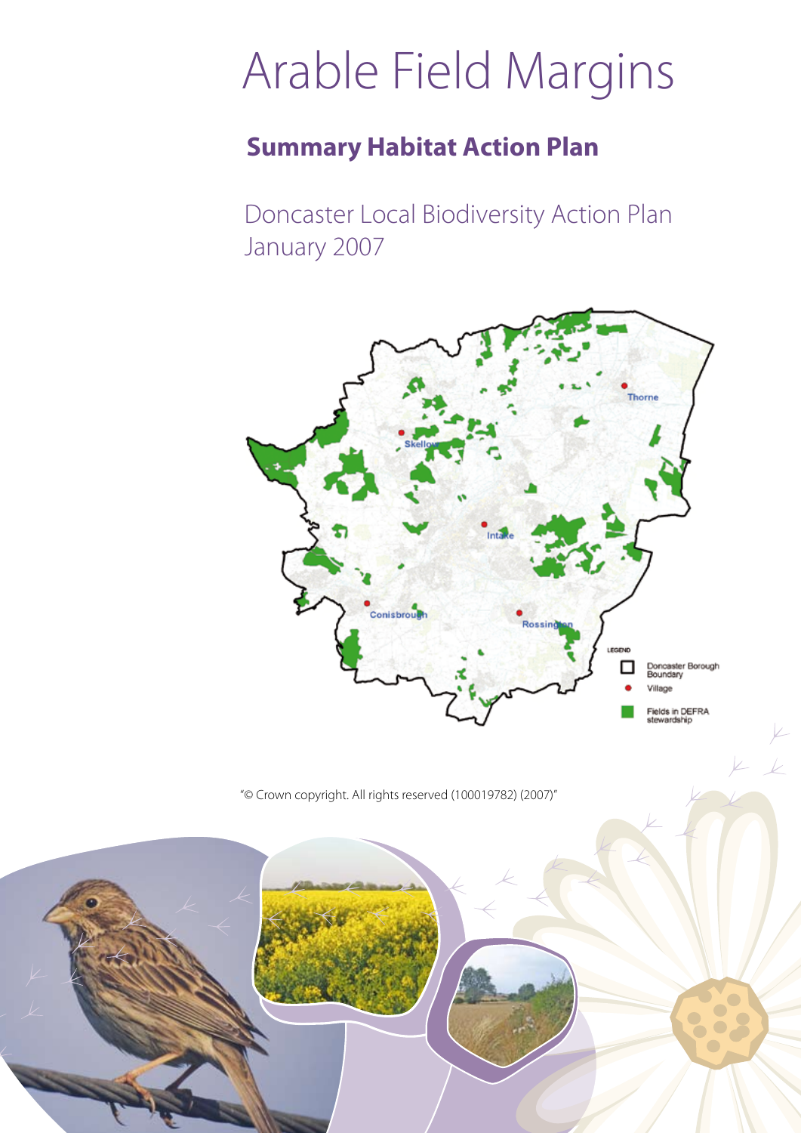# Arable Field Margins

## **Summary Habitat Action Plan**

Doncaster Local Biodiversity Action Plan January 2007



"© Crown copyright. All rights reserved (100019782) (2007)"

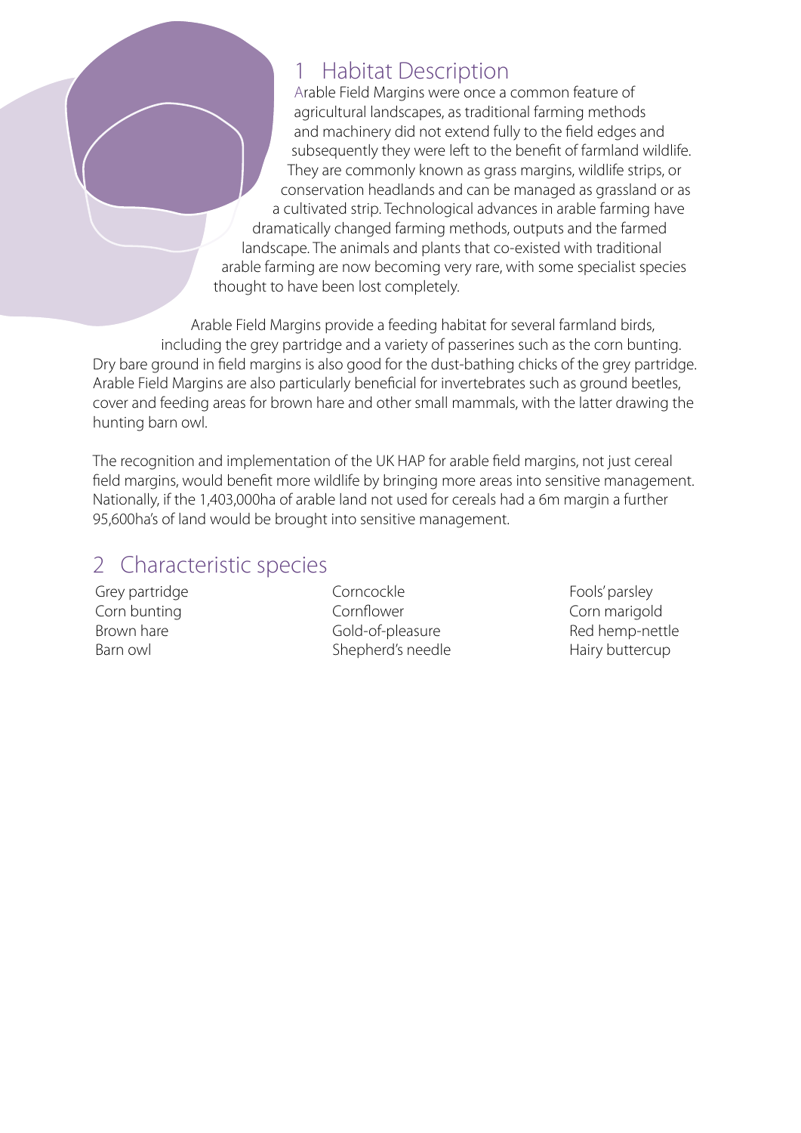### **Habitat Description**

Arable Field Margins were once a common feature of agricultural landscapes, as traditional farming methods and machinery did not extend fully to the field edges and subsequently they were left to the benefit of farmland wildlife. They are commonly known as grass margins, wildlife strips, or conservation headlands and can be managed as grassland or as a cultivated strip. Technological advances in arable farming have dramatically changed farming methods, outputs and the farmed landscape. The animals and plants that co-existed with traditional arable farming are now becoming very rare, with some specialist species thought to have been lost completely.

Arable Field Margins provide a feeding habitat for several farmland birds, including the grey partridge and a variety of passerines such as the corn bunting. Dry bare ground in field margins is also good for the dust-bathing chicks of the grey partridge. Arable Field Margins are also particularly beneficial for invertebrates such as ground beetles, cover and feeding areas for brown hare and other small mammals, with the latter drawing the hunting barn owl.

The recognition and implementation of the UK HAP for arable field margins, not just cereal field margins, would benefit more wildlife by bringing more areas into sensitive management. Nationally, if the 1,403,000ha of arable land not used for cereals had a 6m margin a further 95,600ha's of land would be brought into sensitive management.

### 2 Characteristic species

Grey partridge Corn bunting Brown hare Barn owl

Corncockle Cornflower Gold-of-pleasure Shepherd's needle Fools' parsley Corn marigold Red hemp-nettle Hairy buttercup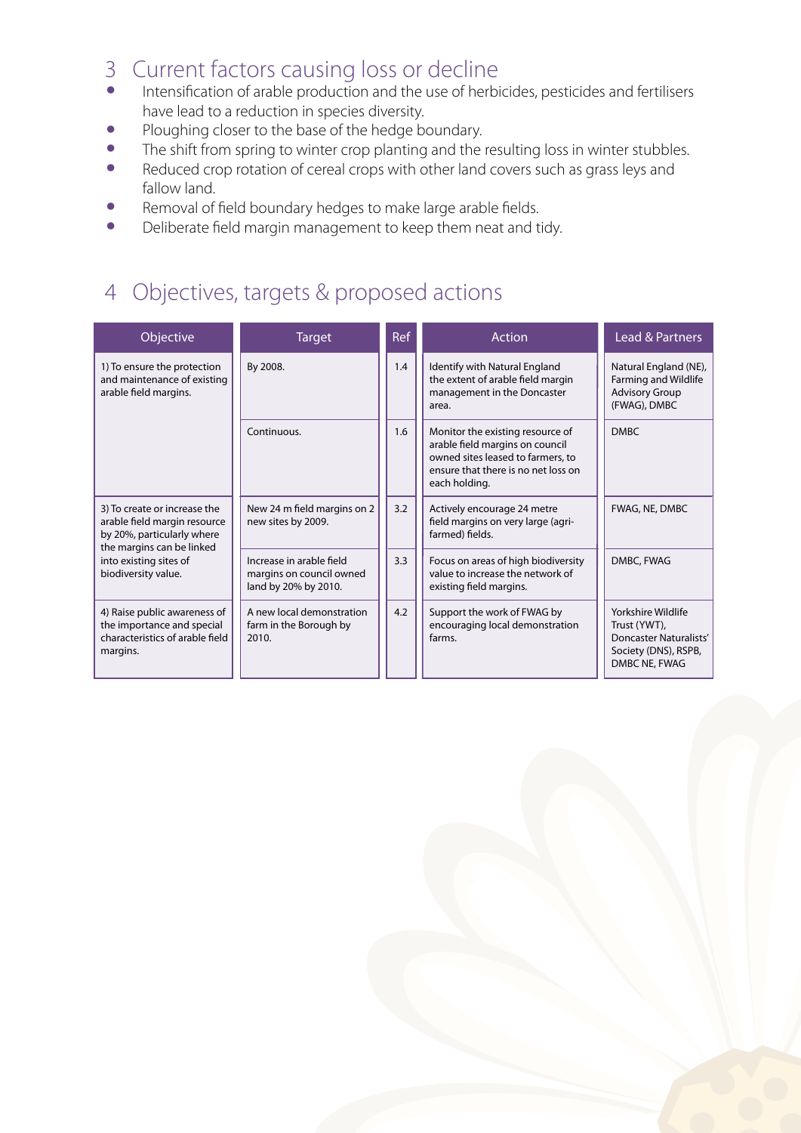# 3 Current factors causing loss or decline

- Intensification of arable production and the use of herbicides, pesticides and fertilisers have lead to a reduction in species diversity.
- Ploughing closer to the base of the hedge boundary.
- The shift from spring to winter crop planting and the resulting loss in winter stubbles.
- Reduced crop rotation of cereal crops with other land covers such as grass leys and fallow land.
- Removal of field boundary hedges to make large arable fields.
- Deliberate field margin management to keep them neat and tidy.

### 4 Objectives, targets & proposed actions

| <b>Objective</b>                                                                                                                                                         | <b>Target</b>                                                                | Ref | <b>Action</b>                                                                                                                                                    | Lead & Partners                                                                                              |
|--------------------------------------------------------------------------------------------------------------------------------------------------------------------------|------------------------------------------------------------------------------|-----|------------------------------------------------------------------------------------------------------------------------------------------------------------------|--------------------------------------------------------------------------------------------------------------|
| 1) To ensure the protection<br>and maintenance of existing<br>arable field margins.                                                                                      | By 2008.                                                                     | 1.4 | Identify with Natural England<br>the extent of arable field margin<br>management in the Doncaster<br>area.                                                       | Natural England (NE),<br><b>Farming and Wildlife</b><br><b>Advisory Group</b><br>(FWAG), DMBC                |
|                                                                                                                                                                          | Continuous.                                                                  | 1.6 | Monitor the existing resource of<br>arable field margins on council<br>owned sites leased to farmers, to<br>ensure that there is no net loss on<br>each holding. | <b>DMBC</b>                                                                                                  |
| 3) To create or increase the<br>arable field margin resource<br>by 20%, particularly where<br>the margins can be linked<br>into existing sites of<br>biodiversity value. | New 24 m field margins on 2<br>new sites by 2009.                            | 3.2 | Actively encourage 24 metre<br>field margins on very large (agri-<br>farmed) fields.                                                                             | FWAG, NE, DMBC                                                                                               |
|                                                                                                                                                                          | Increase in arable field<br>margins on council owned<br>land by 20% by 2010. | 3.3 | Focus on areas of high biodiversity<br>value to increase the network of<br>existing field margins.                                                               | DMBC, FWAG                                                                                                   |
| 4) Raise public awareness of<br>the importance and special<br>characteristics of arable field<br>margins.                                                                | A new local demonstration<br>farm in the Borough by<br>2010.                 | 4.2 | Support the work of FWAG by<br>encouraging local demonstration<br>farms.                                                                                         | Yorkshire Wildlife<br>Trust (YWT),<br><b>Doncaster Naturalists'</b><br>Society (DNS), RSPB,<br>DMBC NE, FWAG |